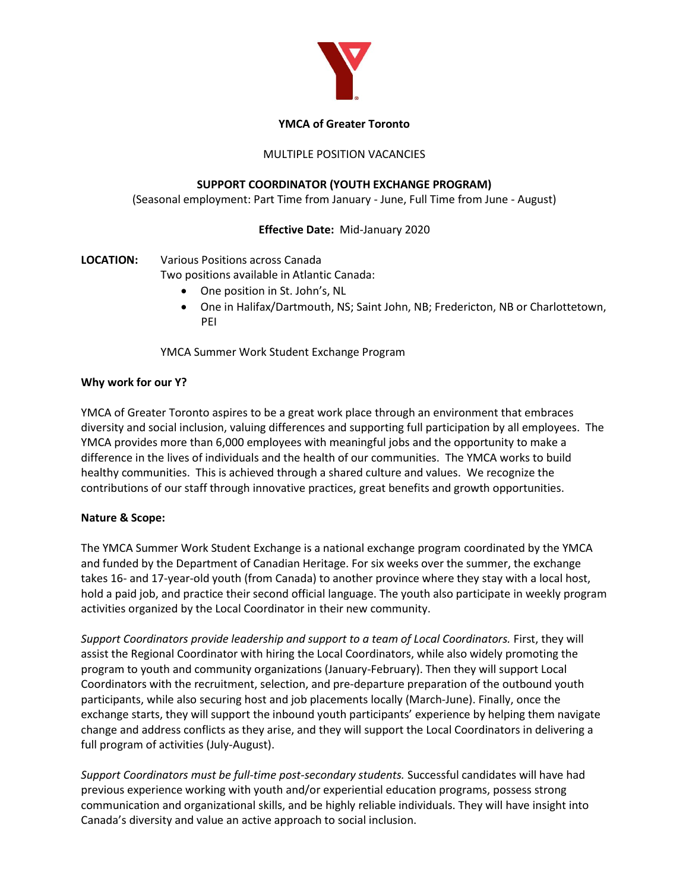

### **YMCA of Greater Toronto**

### MULTIPLE POSITION VACANCIES

### **SUPPORT COORDINATOR (YOUTH EXCHANGE PROGRAM)**

(Seasonal employment: Part Time from January - June, Full Time from June - August)

### **Effective Date:** Mid-January 2020

# **LOCATION:** Various Positions across Canada

Two positions available in Atlantic Canada:

- One position in St. John's, NL
- One in Halifax/Dartmouth, NS; Saint John, NB; Fredericton, NB or Charlottetown, PEI

YMCA Summer Work Student Exchange Program

### **Why work for our Y?**

YMCA of Greater Toronto aspires to be a great work place through an environment that embraces diversity and social inclusion, valuing differences and supporting full participation by all employees. The YMCA provides more than 6,000 employees with meaningful jobs and the opportunity to make a difference in the lives of individuals and the health of our communities. The YMCA works to build healthy communities. This is achieved through a shared culture and values. We recognize the contributions of our staff through innovative practices, great benefits and growth opportunities.

# **Nature & Scope:**

The YMCA Summer Work Student Exchange is a national exchange program coordinated by the YMCA and funded by the Department of Canadian Heritage. For six weeks over the summer, the exchange takes 16- and 17-year-old youth (from Canada) to another province where they stay with a local host, hold a paid job, and practice their second official language. The youth also participate in weekly program activities organized by the Local Coordinator in their new community.

*Support Coordinators provide leadership and support to a team of Local Coordinators.* First, they will assist the Regional Coordinator with hiring the Local Coordinators, while also widely promoting the program to youth and community organizations (January-February). Then they will support Local Coordinators with the recruitment, selection, and pre-departure preparation of the outbound youth participants, while also securing host and job placements locally (March-June). Finally, once the exchange starts, they will support the inbound youth participants' experience by helping them navigate change and address conflicts as they arise, and they will support the Local Coordinators in delivering a full program of activities (July-August).

*Support Coordinators must be full-time post-secondary students.* Successful candidates will have had previous experience working with youth and/or experiential education programs, possess strong communication and organizational skills, and be highly reliable individuals. They will have insight into Canada's diversity and value an active approach to social inclusion.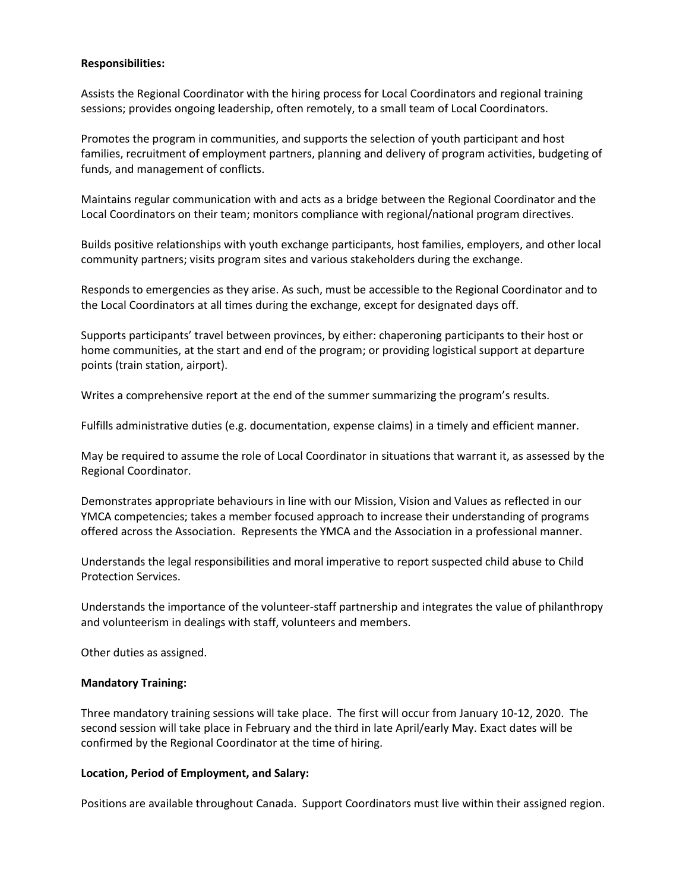#### **Responsibilities:**

Assists the Regional Coordinator with the hiring process for Local Coordinators and regional training sessions; provides ongoing leadership, often remotely, to a small team of Local Coordinators.

Promotes the program in communities, and supports the selection of youth participant and host families, recruitment of employment partners, planning and delivery of program activities, budgeting of funds, and management of conflicts.

Maintains regular communication with and acts as a bridge between the Regional Coordinator and the Local Coordinators on their team; monitors compliance with regional/national program directives.

Builds positive relationships with youth exchange participants, host families, employers, and other local community partners; visits program sites and various stakeholders during the exchange.

Responds to emergencies as they arise. As such, must be accessible to the Regional Coordinator and to the Local Coordinators at all times during the exchange, except for designated days off.

Supports participants' travel between provinces, by either: chaperoning participants to their host or home communities, at the start and end of the program; or providing logistical support at departure points (train station, airport).

Writes a comprehensive report at the end of the summer summarizing the program's results.

Fulfills administrative duties (e.g. documentation, expense claims) in a timely and efficient manner.

May be required to assume the role of Local Coordinator in situations that warrant it, as assessed by the Regional Coordinator.

Demonstrates appropriate behaviours in line with our Mission, Vision and Values as reflected in our YMCA competencies; takes a member focused approach to increase their understanding of programs offered across the Association. Represents the YMCA and the Association in a professional manner.

Understands the legal responsibilities and moral imperative to report suspected child abuse to Child Protection Services.

Understands the importance of the volunteer-staff partnership and integrates the value of philanthropy and volunteerism in dealings with staff, volunteers and members.

Other duties as assigned.

#### **Mandatory Training:**

Three mandatory training sessions will take place. The first will occur from January 10-12, 2020. The second session will take place in February and the third in late April/early May. Exact dates will be confirmed by the Regional Coordinator at the time of hiring.

### **Location, Period of Employment, and Salary:**

Positions are available throughout Canada. Support Coordinators must live within their assigned region.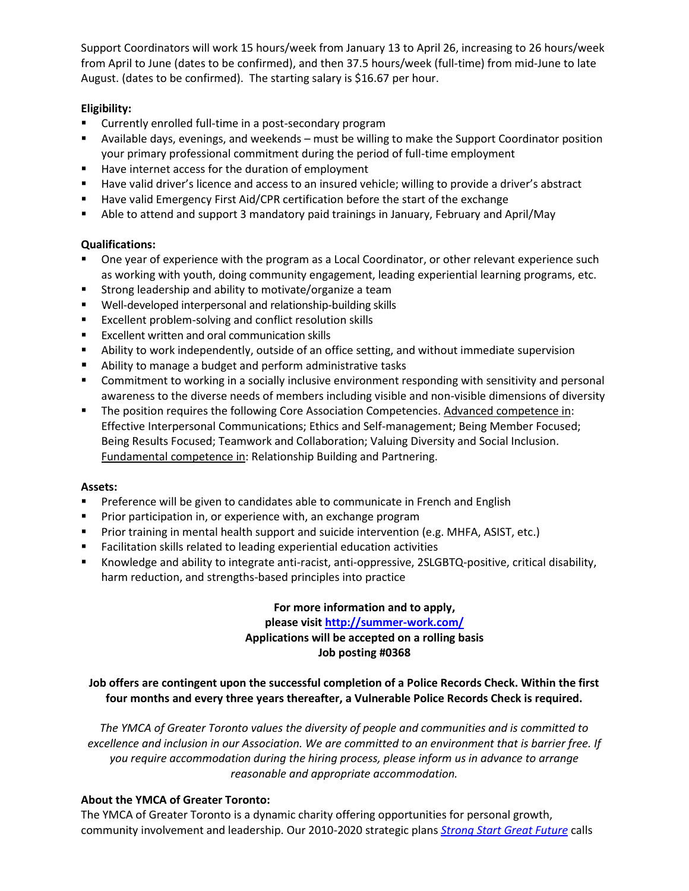Support Coordinators will work 15 hours/week from January 13 to April 26, increasing to 26 hours/week from April to June (dates to be confirmed), and then 37.5 hours/week (full-time) from mid-June to late August. (dates to be confirmed). The starting salary is \$16.67 per hour.

# **Eligibility:**

- Currently enrolled full-time in a post-secondary program
- Available days, evenings, and weekends must be willing to make the Support Coordinator position your primary professional commitment during the period of full-time employment
- Have internet access for the duration of employment
- Have valid driver's licence and access to an insured vehicle; willing to provide a driver's abstract
- **Have valid Emergency First Aid/CPR certification before the start of the exchange**
- Able to attend and support 3 mandatory paid trainings in January, February and April/May

### **Qualifications:**

- One year of experience with the program as a Local Coordinator, or other relevant experience such as working with youth, doing community engagement, leading experiential learning programs, etc.
- Strong leadership and ability to motivate/organize a team
- Well-developed interpersonal and relationship-building skills
- **EXCELLENT FROM DESCRIPT SOLUTE:** EXCELLENT FROM FROM FROM FROM FROM FROM FROM SKILLS
- **Excellent written and oral communication skills**
- Ability to work independently, outside of an office setting, and without immediate supervision
- Ability to manage a budget and perform administrative tasks
- **Commitment to working in a socially inclusive environment responding with sensitivity and personal** awareness to the diverse needs of members including visible and non-visible dimensions of diversity
- The position requires the following Core Association Competencies. Advanced competence in: Effective Interpersonal Communications; Ethics and Self-management; Being Member Focused; Being Results Focused; Teamwork and Collaboration; Valuing Diversity and Social Inclusion. Fundamental competence in: Relationship Building and Partnering.

### **Assets:**

- **Preference will be given to candidates able to communicate in French and English**
- **Prior participation in, or experience with, an exchange program**
- **Prior training in mental health support and suicide intervention (e.g. MHFA, ASIST, etc.)**
- Facilitation skills related to leading experiential education activities
- Knowledge and ability to integrate anti-racist, anti-oppressive, 2SLGBTQ-positive, critical disability, harm reduction, and strengths-based principles into practice

**For more information and to apply, please visit<http://summer-work.com/> Applications will be accepted on a rolling basis Job posting #0368**

### **Job offers are contingent upon the successful completion of a Police Records Check. Within the first four months and every three years thereafter, a Vulnerable Police Records Check is required.**

*The YMCA of Greater Toronto values the diversity of people and communities and is committed to excellence and inclusion in our Association. We are committed to an environment that is barrier free. If you require accommodation during the hiring process, please inform us in advance to arrange reasonable and appropriate accommodation.*

### **About the YMCA of Greater Toronto:**

The YMCA of Greater Toronto is a dynamic charity offering opportunities for personal growth, community involvement and leadership. Our 2010-2020 strategic plans *[Strong Start Great Future](http://www.ymcagta.org/en/files/PDF/YMCA_StratPlan_2010_2020.pdf)* calls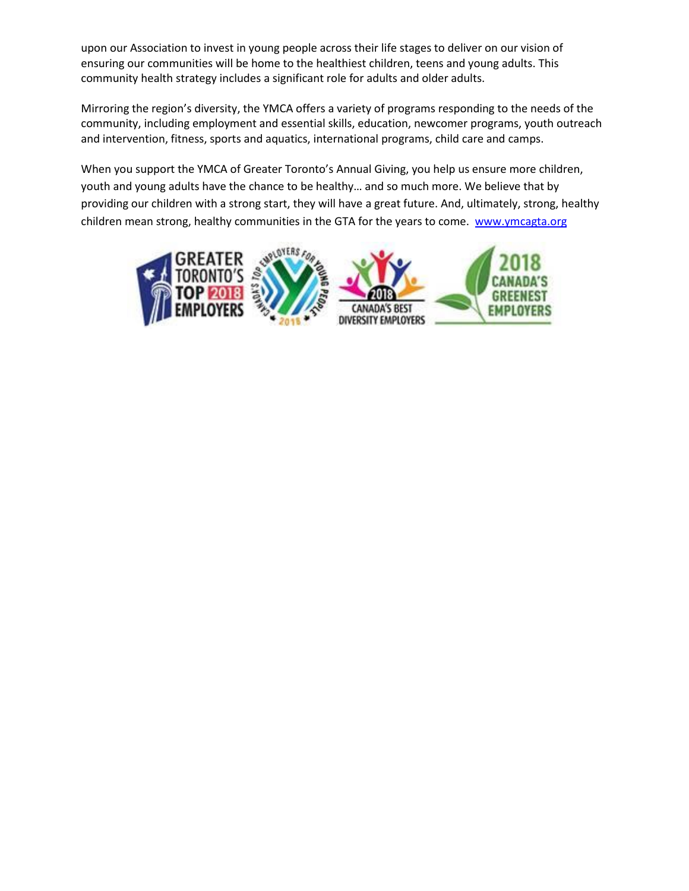upon our Association to invest in young people across their life stages to deliver on our vision of ensuring our communities will be home to the healthiest children, teens and young adults. This community health strategy includes a significant role for adults and older adults.

Mirroring the region's diversity, the YMCA offers a variety of programs responding to the needs of the community, including employment and essential skills, education, newcomer programs, youth outreach and intervention, fitness, sports and aquatics, international programs, child care and camps.

When you support the YMCA of Greater Toronto's Annual Giving, you help us ensure more children, youth and young adults have the chance to be healthy… and so much more. We believe that by providing our children with a strong start, they will have a great future. And, ultimately, strong, healthy children mean strong, healthy communities in the GTA for the years to come. [www.ymcagta.org](http://www.ymcagta.org/)

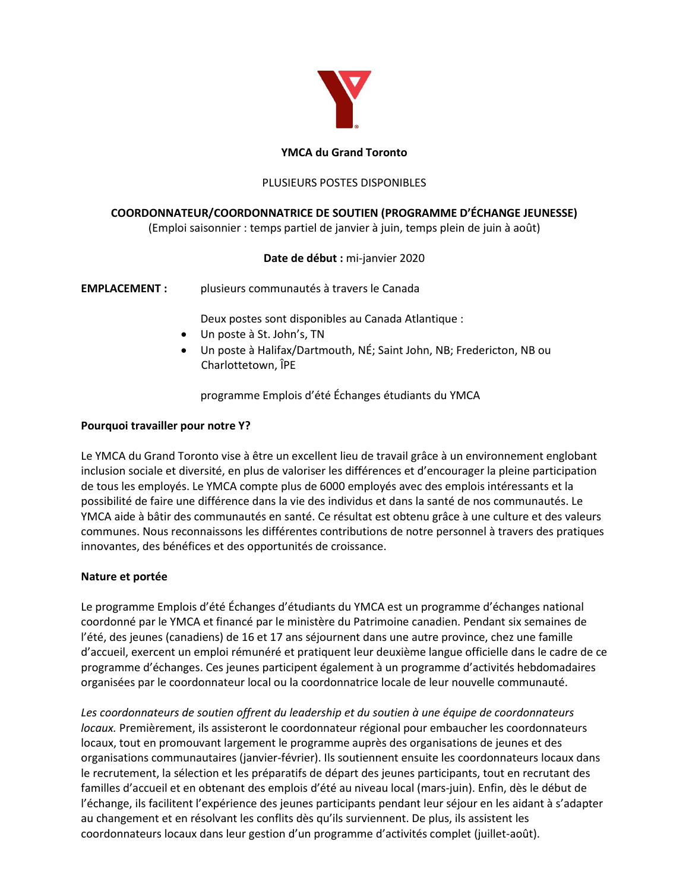

### **YMCA du Grand Toronto**

### PLUSIEURS POSTES DISPONIBLES

### **COORDONNATEUR/COORDONNATRICE DE SOUTIEN (PROGRAMME D'ÉCHANGE JEUNESSE)**

(Emploi saisonnier : temps partiel de janvier à juin, temps plein de juin à août)

### **Date de début :** mi-janvier 2020

**EMPLACEMENT :** plusieurs communautés à travers le Canada

Deux postes sont disponibles au Canada Atlantique :

- Un poste à St. John's, TN
- Un poste à Halifax/Dartmouth, NÉ; Saint John, NB; Fredericton, NB ou Charlottetown, ÎPE

programme Emplois d'été Échanges étudiants du YMCA

#### **Pourquoi travailler pour notre Y?**

Le YMCA du Grand Toronto vise à être un excellent lieu de travail grâce à un environnement englobant inclusion sociale et diversité, en plus de valoriser les différences et d'encourager la pleine participation de tous les employés. Le YMCA compte plus de 6000 employés avec des emplois intéressants et la possibilité de faire une différence dans la vie des individus et dans la santé de nos communautés. Le YMCA aide à bâtir des communautés en santé. Ce résultat est obtenu grâce à une culture et des valeurs communes. Nous reconnaissons les différentes contributions de notre personnel à travers des pratiques innovantes, des bénéfices et des opportunités de croissance.

#### **Nature et portée**

Le programme Emplois d'été Échanges d'étudiants du YMCA est un programme d'échanges national coordonné par le YMCA et financé par le ministère du Patrimoine canadien. Pendant six semaines de l'été, des jeunes (canadiens) de 16 et 17 ans séjournent dans une autre province, chez une famille d'accueil, exercent un emploi rémunéré et pratiquent leur deuxième langue officielle dans le cadre de ce programme d'échanges. Ces jeunes participent également à un programme d'activités hebdomadaires organisées par le coordonnateur local ou la coordonnatrice locale de leur nouvelle communauté.

*Les coordonnateurs de soutien offrent du leadership et du soutien à une équipe de coordonnateurs locaux.* Premièrement, ils assisteront le coordonnateur régional pour embaucher les coordonnateurs locaux, tout en promouvant largement le programme auprès des organisations de jeunes et des organisations communautaires (janvier-février). Ils soutiennent ensuite les coordonnateurs locaux dans le recrutement, la sélection et les préparatifs de départ des jeunes participants, tout en recrutant des familles d'accueil et en obtenant des emplois d'été au niveau local (mars-juin). Enfin, dès le début de l'échange, ils facilitent l'expérience des jeunes participants pendant leur séjour en les aidant à s'adapter au changement et en résolvant les conflits dès qu'ils surviennent. De plus, ils assistent les coordonnateurs locaux dans leur gestion d'un programme d'activités complet (juillet-août).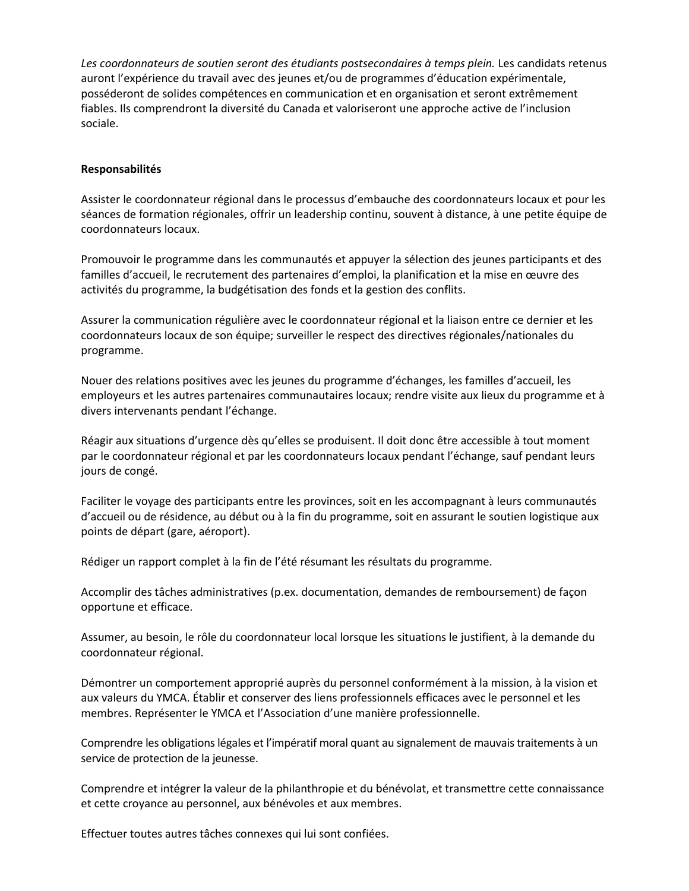Les coordonnateurs de soutien seront des étudiants postsecondaires à temps plein. Les candidats retenus auront l'expérience du travail avec des jeunes et/ou de programmes d'éducation expérimentale, posséderont de solides compétences en communication et en organisation et seront extrêmement fiables. Ils comprendront la diversité du Canada et valoriseront une approche active de l'inclusion sociale.

#### **Responsabilités**

Assister le coordonnateur régional dans le processus d'embauche des coordonnateurs locaux et pour les séances de formation régionales, offrir un leadership continu, souvent à distance, à une petite équipe de coordonnateurs locaux.

Promouvoir le programme dans les communautés et appuyer la sélection des jeunes participants et des familles d'accueil, le recrutement des partenaires d'emploi, la planification et la mise en œuvre des activités du programme, la budgétisation des fonds et la gestion des conflits.

Assurer la communication régulière avec le coordonnateur régional et la liaison entre ce dernier et les coordonnateurs locaux de son équipe; surveiller le respect des directives régionales/nationales du programme.

Nouer des relations positives avec les jeunes du programme d'échanges, les familles d'accueil, les employeurs et les autres partenaires communautaires locaux; rendre visite aux lieux du programme et à divers intervenants pendant l'échange.

Réagir aux situations d'urgence dès qu'elles se produisent. Il doit donc être accessible à tout moment par le coordonnateur régional et par les coordonnateurs locaux pendant l'échange, sauf pendant leurs jours de congé.

Faciliter le voyage des participants entre les provinces, soit en les accompagnant à leurs communautés d'accueil ou de résidence, au début ou à la fin du programme, soit en assurant le soutien logistique aux points de départ (gare, aéroport).

Rédiger un rapport complet à la fin de l'été résumant les résultats du programme.

Accomplir des tâches administratives (p.ex. documentation, demandes de remboursement) de façon opportune et efficace.

Assumer, au besoin, le rôle du coordonnateur local lorsque les situations le justifient, à la demande du coordonnateur régional.

Démontrer un comportement approprié auprès du personnel conformément à la mission, à la vision et aux valeurs du YMCA. Établir et conserver des liens professionnels efficaces avec le personnel et les membres. Représenter le YMCA et l'Association d'une manière professionnelle.

Comprendre les obligations légales et l'impératif moral quant au signalement de mauvais traitements à un service de protection de la jeunesse.

Comprendre et intégrer la valeur de la philanthropie et du bénévolat, et transmettre cette connaissance et cette croyance au personnel, aux bénévoles et aux membres.

Effectuer toutes autres tâches connexes qui lui sont confiées.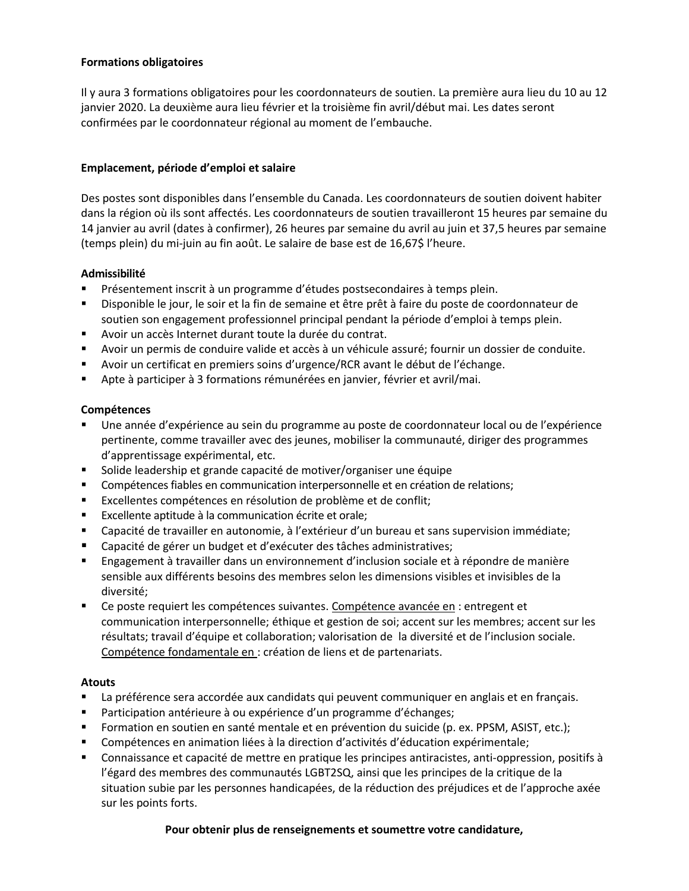### **Formations obligatoires**

Il y aura 3 formations obligatoires pour les coordonnateurs de soutien. La première aura lieu du 10 au 12 janvier 2020. La deuxième aura lieu février et la troisième fin avril/début mai. Les dates seront confirmées par le coordonnateur régional au moment de l'embauche.

### **Emplacement, période d'emploi et salaire**

Des postes sont disponibles dans l'ensemble du Canada. Les coordonnateurs de soutien doivent habiter dans la région où ils sont affectés. Les coordonnateurs de soutien travailleront 15 heures par semaine du 14 janvier au avril (dates à confirmer), 26 heures par semaine du avril au juin et 37,5 heures par semaine (temps plein) du mi-juin au fin août. Le salaire de base est de 16,67\$ l'heure.

### **Admissibilité**

- Présentement inscrit à un programme d'études postsecondaires à temps plein.
- Disponible le jour, le soir et la fin de semaine et être prêt à faire du poste de coordonnateur de soutien son engagement professionnel principal pendant la période d'emploi à temps plein.
- Avoir un accès Internet durant toute la durée du contrat.
- Avoir un permis de conduire valide et accès à un véhicule assuré; fournir un dossier de conduite.
- Avoir un certificat en premiers soins d'urgence/RCR avant le début de l'échange.
- Apte à participer à 3 formations rémunérées en janvier, février et avril/mai.

### **Compétences**

- Une année d'expérience au sein du programme au poste de coordonnateur local ou de l'expérience pertinente, comme travailler avec des jeunes, mobiliser la communauté, diriger des programmes d'apprentissage expérimental, etc.
- Solide leadership et grande capacité de motiver/organiser une équipe
- Compétences fiables en communication interpersonnelle et en création de relations;
- Excellentes compétences en résolution de problème et de conflit;
- Excellente aptitude à la communication écrite et orale;
- Capacité de travailler en autonomie, à l'extérieur d'un bureau et sans supervision immédiate;
- Capacité de gérer un budget et d'exécuter des tâches administratives;
- Engagement à travailler dans un environnement d'inclusion sociale et à répondre de manière sensible aux différents besoins des membres selon les dimensions visibles et invisibles de la diversité;
- Ce poste requiert les compétences suivantes. Compétence avancée en : entregent et communication interpersonnelle; éthique et gestion de soi; accent sur les membres; accent sur les résultats; travail d'équipe et collaboration; valorisation de la diversité et de l'inclusion sociale. Compétence fondamentale en : création de liens et de partenariats.

# **Atouts**

- La préférence sera accordée aux candidats qui peuvent communiquer en anglais et en français.
- Participation antérieure à ou expérience d'un programme d'échanges;
- **Formation en soutien en santé mentale et en prévention du suicide (p. ex. PPSM, ASIST, etc.);**
- Compétences en animation liées à la direction d'activités d'éducation expérimentale;
- Connaissance et capacité de mettre en pratique les principes antiracistes, anti-oppression, positifs à l'égard des membres des communautés LGBT2SQ, ainsi que les principes de la critique de la situation subie par les personnes handicapées, de la réduction des préjudices et de l'approche axée sur les points forts.

# **Pour obtenir plus de renseignements et soumettre votre candidature,**